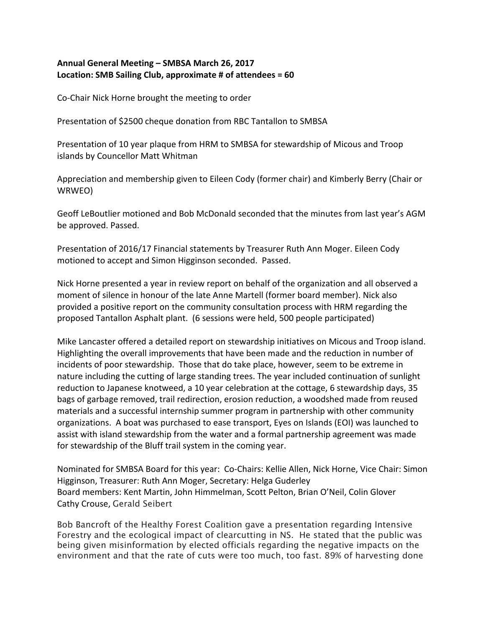## Annual General Meeting – SMBSA March 26, 2017 **Location: SMB Sailing Club, approximate # of attendees = 60**

Co-Chair Nick Horne brought the meeting to order

Presentation of \$2500 cheque donation from RBC Tantallon to SMBSA

Presentation of 10 year plaque from HRM to SMBSA for stewardship of Micous and Troop islands by Councellor Matt Whitman

Appreciation and membership given to Eileen Cody (former chair) and Kimberly Berry (Chair or WRWEO) 

Geoff LeBoutlier motioned and Bob McDonald seconded that the minutes from last year's AGM be approved. Passed.

Presentation of 2016/17 Financial statements by Treasurer Ruth Ann Moger. Eileen Cody motioned to accept and Simon Higginson seconded. Passed.

Nick Horne presented a year in review report on behalf of the organization and all observed a moment of silence in honour of the late Anne Martell (former board member). Nick also provided a positive report on the community consultation process with HRM regarding the proposed Tantallon Asphalt plant. (6 sessions were held, 500 people participated)

Mike Lancaster offered a detailed report on stewardship initiatives on Micous and Troop island. Highlighting the overall improvements that have been made and the reduction in number of incidents of poor stewardship. Those that do take place, however, seem to be extreme in nature including the cutting of large standing trees. The year included continuation of sunlight reduction to Japanese knotweed, a 10 year celebration at the cottage, 6 stewardship days, 35 bags of garbage removed, trail redirection, erosion reduction, a woodshed made from reused materials and a successful internship summer program in partnership with other community organizations. A boat was purchased to ease transport, Eyes on Islands (EOI) was launched to assist with island stewardship from the water and a formal partnership agreement was made for stewardship of the Bluff trail system in the coming year.

Nominated for SMBSA Board for this year: Co-Chairs: Kellie Allen, Nick Horne, Vice Chair: Simon Higginson, Treasurer: Ruth Ann Moger, Secretary: Helga Guderley Board members: Kent Martin, John Himmelman, Scott Pelton, Brian O'Neil, Colin Glover Cathy Crouse, Gerald Seibert

Bob Bancroft of the Healthy Forest Coalition gave a presentation regarding Intensive Forestry and the ecological impact of clearcutting in NS. He stated that the public was being given misinformation by elected officials regarding the negative impacts on the environment and that the rate of cuts were too much, too fast. 89% of harvesting done